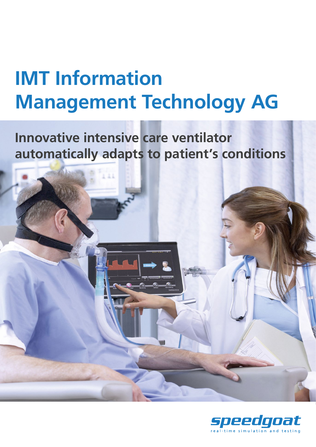# **IMT Information Management Technology AG**

# **Innovative intensive care ventilator automatically adapts to patient's conditions**



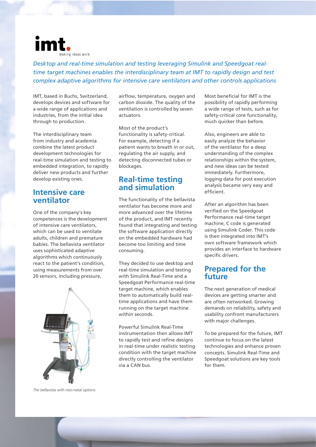

*Desktop and real-time simulation and testing leveraging Simulink and Speedgoat realtime target machines enables the interdisciplinary team at IMT to rapidly design and test complex adaptive algorithms for intensive care ventilators and other controls applications*

IMT, based in Buchs, Switzerland, develops devices and software for a wide range of applications and industries, from the initial idea through to production.

The interdisciplinary team from industry and academia combine the latest product development technologies for real-time simulation and testing to embedded integration, to rapidly deliver new products and further develop existing ones.

#### **Intensive care ventilator**

One of the company's key competences is the development of intensive care ventilators, which can be used to ventilate adults, children and premature babies. The bellavista ventilator uses sophisticated adaptive algorithms which continuously react to the patient's condition, using measurements from over 20 sensors, including pressure,



airflow, temperature, oxygen and carbon dioxide. The quality of the ventilation is controlled by seven actuators.

Most of the product's functionality is safety-critical. For example, detecting if a patient wants to breath in or out, regulating the air supply, and detecting disconnected tubes or blockages.

### **Real-time testing and simulation**

The functionality of the bellavista ventilator has become more and more advanced over the lifetime of the product, and IMT recently found that integrating and testing the software application directly on the embedded hardware had become too limiting and time consuming.

They decided to use desktop and real-time simulation and testing with Simulink Real-Time and a Speedgoat Performance real-time target machine, which enables them to automatically build realtime applications and have them running on the target machine within seconds.

Powerful Simulink Real-Time instrumentation then allows IMT to rapidly test and refine designs in real-time under realistic testing condition with the target machine directly controlling the ventilator via a CAN bus.

Most beneficial for IMT is the possibility of rapidly performing a wide range of tests, such as for safety-critical core functionality, much quicker than before.

Also, engineers are able to easily analyze the behavior of the ventilator for a deep understanding of the complex relationships within the system, and new ideas can be tested immediately. Furthermore, logging data for post execution analysis became very easy and efficient.

After an algorithm has been verified on the Speedgoat Performance real-time target machine, C code is generated using Simulink Coder. This code is then integrated into IMT's own software framework which provides an interface to hardware specific drivers.

#### **Prepared for the future**

The next generation of medical devices are getting smarter and are often networked. Growing demands on reliability, safety and usability confront manufacturers with major challenges.

To be prepared for the future, IMT continue to focus on the latest technologies and enhance proven concepts. Simulink Real-Time and Speedgoat solutions are key tools for them.

*The bellavista with neo-natal options*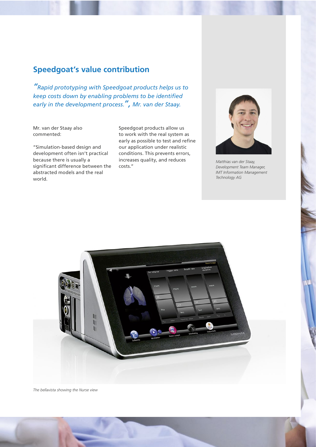## **Speedgoat's value contribution**

*"Rapid prototyping with Speedgoat products helps us to keep costs down by enabling problems to be identified early in the development process.", Mr. van der Staay.*

Mr. van der Staay also commented:

"Simulation-based design and development often isn't practical because there is usually a significant difference between the abstracted models and the real world.

Speedgoat products allow us to work with the real system as early as possible to test and refine our application under realistic conditions. This prevents errors, increases quality, and reduces costs."



*Matthias van der Staay, Development Team Manager, IMT Information Management Technology AG*



*The bellavista showing the Nurse view*